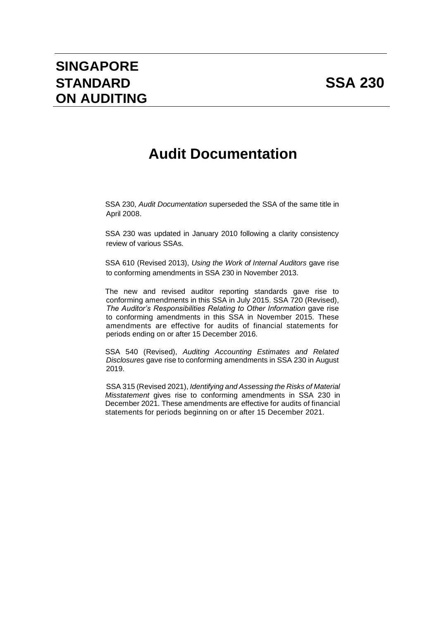# **Audit Documentation**

SSA 230, *Audit Documentation* superseded the SSA of the same title in April 2008.

SSA 230 was updated in January 2010 following a clarity consistency review of various SSAs.

SSA 610 (Revised 2013), *Using the Work of Internal Auditors* gave rise to conforming amendments in SSA 230 in November 2013.

The new and revised auditor reporting standards gave rise to conforming amendments in this SSA in July 2015. SSA 720 (Revised), *The Auditor's Responsibilities Relating to Other Information* gave rise to conforming amendments in this SSA in November 2015. These amendments are effective for audits of financial statements for periods ending on or after 15 December 2016.

SSA 540 (Revised), *Auditing Accounting Estimates and Related Disclosures* gave rise to conforming amendments in SSA 230 in August 2019.

SSA 315 (Revised 2021), *Identifying and Assessing the Risks of Material Misstatement* gives rise to conforming amendments in SSA 230 in December 2021. These amendments are effective for audits of financial statements for periods beginning on or after 15 December 2021.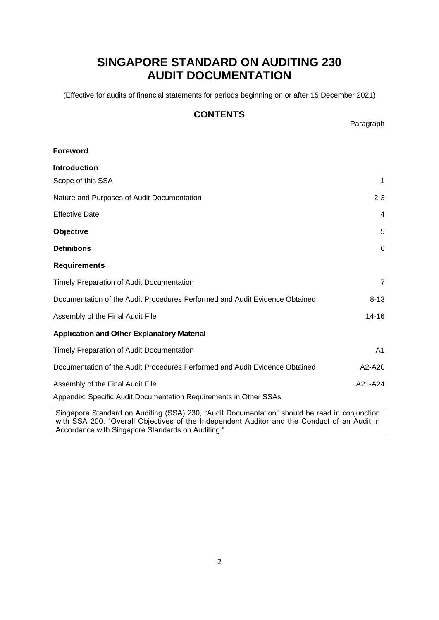# **SINGAPORE STANDARD ON AUDITING 230 AUDIT DOCUMENTATION**

(Effective for audits of financial statements for periods beginning on or after 15 December 2021)

# **CONTENTS**

Paragraph

| <b>Foreword</b>                                                                                                                                                                              |           |
|----------------------------------------------------------------------------------------------------------------------------------------------------------------------------------------------|-----------|
| <b>Introduction</b>                                                                                                                                                                          |           |
| Scope of this SSA                                                                                                                                                                            | 1         |
| Nature and Purposes of Audit Documentation                                                                                                                                                   | $2 - 3$   |
| <b>Effective Date</b>                                                                                                                                                                        | 4         |
| Objective                                                                                                                                                                                    | 5         |
| <b>Definitions</b>                                                                                                                                                                           | 6         |
| <b>Requirements</b>                                                                                                                                                                          |           |
| Timely Preparation of Audit Documentation                                                                                                                                                    | 7         |
| Documentation of the Audit Procedures Performed and Audit Evidence Obtained                                                                                                                  | $8 - 13$  |
| Assembly of the Final Audit File                                                                                                                                                             | $14 - 16$ |
| <b>Application and Other Explanatory Material</b>                                                                                                                                            |           |
| Timely Preparation of Audit Documentation                                                                                                                                                    | A1        |
| Documentation of the Audit Procedures Performed and Audit Evidence Obtained                                                                                                                  | A2-A20    |
| Assembly of the Final Audit File                                                                                                                                                             | A21-A24   |
| Appendix: Specific Audit Documentation Requirements in Other SSAs                                                                                                                            |           |
| Singapore Standard on Auditing (SSA) 230, "Audit Documentation" should be read in conjunction<br>with SSA 200, "Overall Objectives of the Independent Auditor and the Conduct of an Audit in |           |

Accordance with Singapore Standards on Auditing."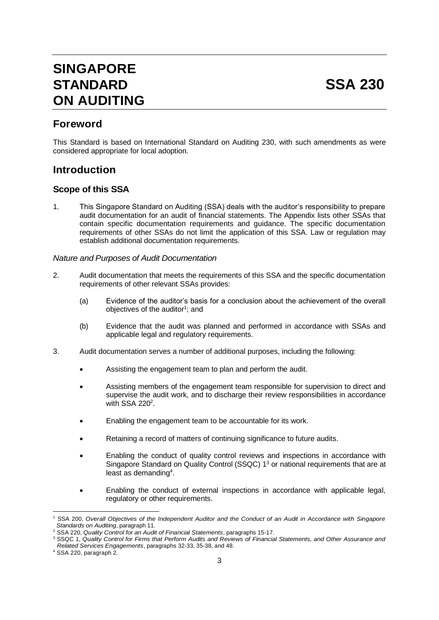# **SINGAPORE STANDARD SSA 230 ON AUDITING**

# **Foreword**

This Standard is based on International Standard on Auditing 230, with such amendments as were considered appropriate for local adoption.

# **Introduction**

### **Scope of this SSA**

1. This Singapore Standard on Auditing (SSA) deals with the auditor's responsibility to prepare audit documentation for an audit of financial statements. The Appendix lists other SSAs that contain specific documentation requirements and guidance. The specific documentation requirements of other SSAs do not limit the application of this SSA. Law or regulation may establish additional documentation requirements.

#### *Nature and Purposes of Audit Documentation*

- 2. Audit documentation that meets the requirements of this SSA and the specific documentation requirements of other relevant SSAs provides:
	- (a) Evidence of the auditor's basis for a conclusion about the achievement of the overall objectives of the auditor<sup>1</sup>; and
	- (b) Evidence that the audit was planned and performed in accordance with SSAs and applicable legal and regulatory requirements.
- 3. Audit documentation serves a number of additional purposes, including the following:
	- Assisting the engagement team to plan and perform the audit.
	- Assisting members of the engagement team responsible for supervision to direct and supervise the audit work, and to discharge their review responsibilities in accordance with SSA 220<sup>2</sup>.
	- Enabling the engagement team to be accountable for its work.
	- Retaining a record of matters of continuing significance to future audits.
	- Enabling the conduct of quality control reviews and inspections in accordance with Singapore Standard on Quality Control (SSQC) 1<sup>3</sup> or national requirements that are at least as demanding<sup>4</sup>.
	- Enabling the conduct of external inspections in accordance with applicable legal, regulatory or other requirements.

<sup>1</sup> SSA 200, *Overall Objectives of the Independent Auditor and the Conduct of an Audit in Accordance with Singapore Standards on Auditing*, paragraph 11.

<sup>2</sup> SSA 220, *Quality Control for an Audit of Financial Statements*, paragraphs 15-17.

<sup>3</sup> SSQC 1, *Quality Control for Firms that Perform Audits and Reviews of Financial Statements, and Other Assurance and Related Services Engagements*, paragraphs 32-33, 35-38, and 48.

<sup>4</sup> SSA 220, paragraph 2.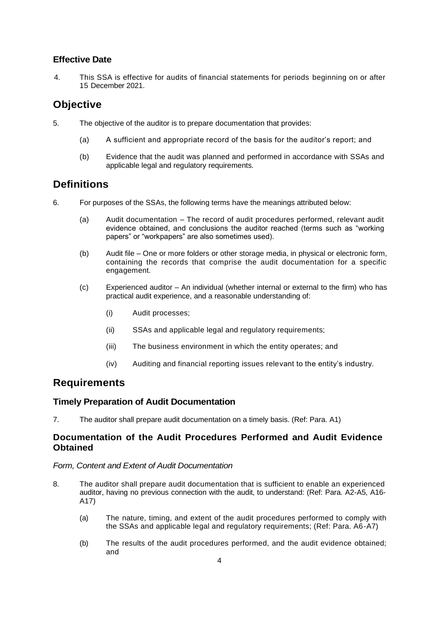## **Effective Date**

4. This SSA is effective for audits of financial statements for periods beginning on or after 15 December 2021.

# **Objective**

- 5. The objective of the auditor is to prepare documentation that provides:
	- (a) A sufficient and appropriate record of the basis for the auditor's report; and
	- (b) Evidence that the audit was planned and performed in accordance with SSAs and applicable legal and regulatory requirements.

# **Definitions**

- 6. For purposes of the SSAs, the following terms have the meanings attributed below:
	- (a) Audit documentation The record of audit procedures performed, relevant audit evidence obtained, and conclusions the auditor reached (terms such as "working papers" or "workpapers" are also sometimes used).
	- (b) Audit file One or more folders or other storage media, in physical or electronic form, containing the records that comprise the audit documentation for a specific engagement.
	- (c) Experienced auditor An individual (whether internal or external to the firm) who has practical audit experience, and a reasonable understanding of:
		- (i) Audit processes;
		- (ii) SSAs and applicable legal and regulatory requirements;
		- (iii) The business environment in which the entity operates; and
		- (iv) Auditing and financial reporting issues relevant to the entity's industry.

# **Requirements**

### **Timely Preparation of Audit Documentation**

7. The auditor shall prepare audit documentation on a timely basis. (Ref: Para. A1)

### **Documentation of the Audit Procedures Performed and Audit Evidence Obtained**

#### *Form, Content and Extent of Audit Documentation*

- 8. The auditor shall prepare audit documentation that is sufficient to enable an experienced auditor, having no previous connection with the audit, to understand: (Ref: Para. A2-A5, A16- A17)
	- (a) The nature, timing, and extent of the audit procedures performed to comply with the SSAs and applicable legal and regulatory requirements; (Ref: Para. A6-A7)
	- (b) The results of the audit procedures performed, and the audit evidence obtained; and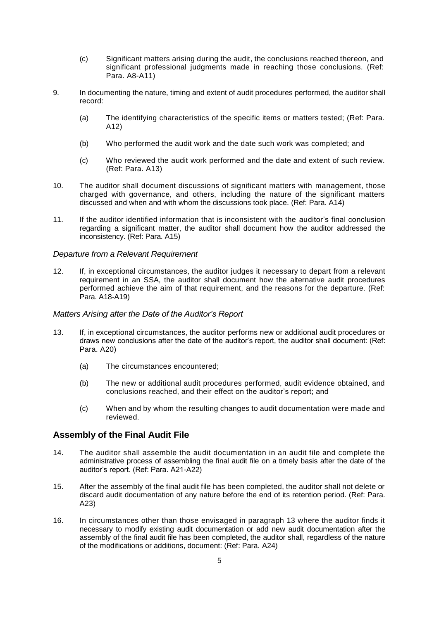- (c) Significant matters arising during the audit, the conclusions reached thereon, and significant professional judgments made in reaching those conclusions. (Ref: Para. A8-A11)
- 9. In documenting the nature, timing and extent of audit procedures performed, the auditor shall record:
	- (a) The identifying characteristics of the specific items or matters tested; (Ref: Para. A12)
	- (b) Who performed the audit work and the date such work was completed; and
	- (c) Who reviewed the audit work performed and the date and extent of such review. (Ref: Para. A13)
- 10. The auditor shall document discussions of significant matters with management, those charged with governance, and others, including the nature of the significant matters discussed and when and with whom the discussions took place. (Ref: Para. A14)
- 11. If the auditor identified information that is inconsistent with the auditor's final conclusion regarding a significant matter, the auditor shall document how the auditor addressed the inconsistency. (Ref: Para. A15)

#### *Departure from a Relevant Requirement*

12. If, in exceptional circumstances, the auditor judges it necessary to depart from a relevant requirement in an SSA, the auditor shall document how the alternative audit procedures performed achieve the aim of that requirement, and the reasons for the departure. (Ref: Para. A18-A19)

#### *Matters Arising after the Date of the Auditor's Report*

- 13. If, in exceptional circumstances, the auditor performs new or additional audit procedures or draws new conclusions after the date of the auditor's report, the auditor shall document: (Ref: Para. A20)
	- (a) The circumstances encountered;
	- (b) The new or additional audit procedures performed, audit evidence obtained, and conclusions reached, and their effect on the auditor's report; and
	- (c) When and by whom the resulting changes to audit documentation were made and reviewed.

### **Assembly of the Final Audit File**

- 14. The auditor shall assemble the audit documentation in an audit file and complete the administrative process of assembling the final audit file on a timely basis after the date of the auditor's report. (Ref: Para. A21-A22)
- 15. After the assembly of the final audit file has been completed, the auditor shall not delete or discard audit documentation of any nature before the end of its retention period. (Ref: Para. A23)
- 16. In circumstances other than those envisaged in paragraph 13 where the auditor finds it necessary to modify existing audit documentation or add new audit documentation after the assembly of the final audit file has been completed, the auditor shall, regardless of the nature of the modifications or additions, document: (Ref: Para. A24)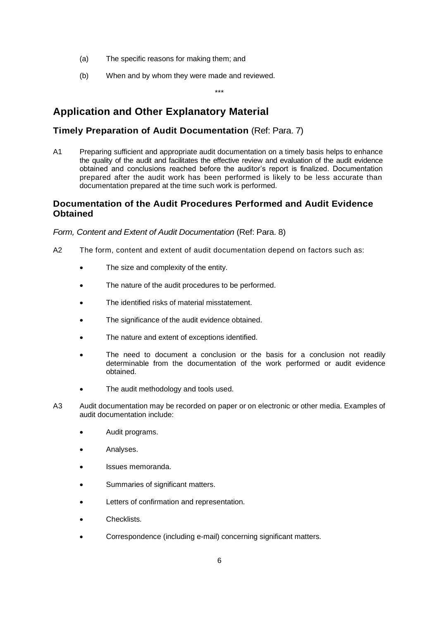- (a) The specific reasons for making them; and
- (b) When and by whom they were made and reviewed.

\*\*\*

# **Application and Other Explanatory Material**

## **Timely Preparation of Audit Documentation** (Ref: Para. 7)

A1 Preparing sufficient and appropriate audit documentation on a timely basis helps to enhance the quality of the audit and facilitates the effective review and evaluation of the audit evidence obtained and conclusions reached before the auditor's report is finalized. Documentation prepared after the audit work has been performed is likely to be less accurate than documentation prepared at the time such work is performed.

## **Documentation of the Audit Procedures Performed and Audit Evidence Obtained**

#### *Form, Content and Extent of Audit Documentation* (Ref: Para. 8)

- A2 The form, content and extent of audit documentation depend on factors such as:
	- The size and complexity of the entity.
	- The nature of the audit procedures to be performed.
	- The identified risks of material misstatement.
	- The significance of the audit evidence obtained.
	- The nature and extent of exceptions identified.
	- The need to document a conclusion or the basis for a conclusion not readily determinable from the documentation of the work performed or audit evidence obtained.
	- The audit methodology and tools used.
- A3 Audit documentation may be recorded on paper or on electronic or other media. Examples of audit documentation include:
	- Audit programs.
	- Analyses.
	- Issues memoranda.
	- Summaries of significant matters.
	- Letters of confirmation and representation.
	- Checklists.
	- Correspondence (including e-mail) concerning significant matters.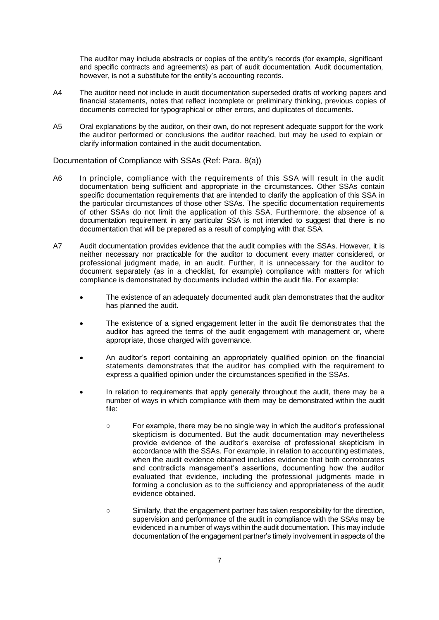The auditor may include abstracts or copies of the entity's records (for example, significant and specific contracts and agreements) as part of audit documentation. Audit documentation, however, is not a substitute for the entity's accounting records.

- A4 The auditor need not include in audit documentation superseded drafts of working papers and financial statements, notes that reflect incomplete or preliminary thinking, previous copies of documents corrected for typographical or other errors, and duplicates of documents.
- A5 Oral explanations by the auditor, on their own, do not represent adequate support for the work the auditor performed or conclusions the auditor reached, but may be used to explain or clarify information contained in the audit documentation.

#### Documentation of Compliance with SSAs (Ref: Para. 8(a))

- A6 In principle, compliance with the requirements of this SSA will result in the audit documentation being sufficient and appropriate in the circumstances. Other SSAs contain specific documentation requirements that are intended to clarify the application of this SSA in the particular circumstances of those other SSAs. The specific documentation requirements of other SSAs do not limit the application of this SSA. Furthermore, the absence of a documentation requirement in any particular SSA is not intended to suggest that there is no documentation that will be prepared as a result of complying with that SSA.
- A7 Audit documentation provides evidence that the audit complies with the SSAs. However, it is neither necessary nor practicable for the auditor to document every matter considered, or professional judgment made, in an audit. Further, it is unnecessary for the auditor to document separately (as in a checklist, for example) compliance with matters for which compliance is demonstrated by documents included within the audit file. For example:
	- The existence of an adequately documented audit plan demonstrates that the auditor has planned the audit.
	- The existence of a signed engagement letter in the audit file demonstrates that the auditor has agreed the terms of the audit engagement with management or, where appropriate, those charged with governance.
	- An auditor's report containing an appropriately qualified opinion on the financial statements demonstrates that the auditor has complied with the requirement to express a qualified opinion under the circumstances specified in the SSAs.
	- In relation to requirements that apply generally throughout the audit, there may be a number of ways in which compliance with them may be demonstrated within the audit file:
		- For example, there may be no single way in which the auditor's professional skepticism is documented. But the audit documentation may nevertheless provide evidence of the auditor's exercise of professional skepticism in accordance with the SSAs. For example, in relation to accounting estimates, when the audit evidence obtained includes evidence that both corroborates and contradicts management's assertions, documenting how the auditor evaluated that evidence, including the professional judgments made in forming a conclusion as to the sufficiency and appropriateness of the audit evidence obtained.
		- Similarly, that the engagement partner has taken responsibility for the direction, supervision and performance of the audit in compliance with the SSAs may be evidenced in a number of ways within the audit documentation. This may include documentation of the engagement partner's timely involvement in aspects of the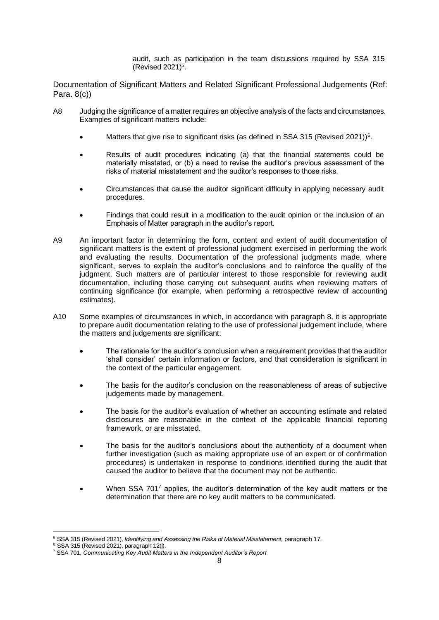audit, such as participation in the team discussions required by SSA 315 (Revised 2021) 5 .

Documentation of Significant Matters and Related Significant Professional Judgements (Ref: Para. 8(c))

- A8 Judging the significance of a matter requires an objective analysis of the facts and circumstances. Examples of significant matters include:
	- Matters that give rise to significant risks (as defined in SSA 315 (Revised 2021))<sup>6</sup>.
	- Results of audit procedures indicating (a) that the financial statements could be materially misstated, or (b) a need to revise the auditor's previous assessment of the risks of material misstatement and the auditor's responses to those risks.
	- Circumstances that cause the auditor significant difficulty in applying necessary audit procedures.
	- Findings that could result in a modification to the audit opinion or the inclusion of an Emphasis of Matter paragraph in the auditor's report.
- A9 An important factor in determining the form, content and extent of audit documentation of significant matters is the extent of professional judgment exercised in performing the work and evaluating the results. Documentation of the professional judgments made, where significant, serves to explain the auditor's conclusions and to reinforce the quality of the judgment. Such matters are of particular interest to those responsible for reviewing audit documentation, including those carrying out subsequent audits when reviewing matters of continuing significance (for example, when performing a retrospective review of accounting estimates).
- A10 Some examples of circumstances in which, in accordance with paragraph 8, it is appropriate to prepare audit documentation relating to the use of professional judgement include, where the matters and judgements are significant:
	- The rationale for the auditor's conclusion when a requirement provides that the auditor 'shall consider' certain information or factors, and that consideration is significant in the context of the particular engagement.
	- The basis for the auditor's conclusion on the reasonableness of areas of subjective judgements made by management.
	- The basis for the auditor's evaluation of whether an accounting estimate and related disclosures are reasonable in the context of the applicable financial reporting framework, or are misstated.
	- The basis for the auditor's conclusions about the authenticity of a document when further investigation (such as making appropriate use of an expert or of confirmation procedures) is undertaken in response to conditions identified during the audit that caused the auditor to believe that the document may not be authentic.
	- When SSA  $701<sup>7</sup>$  applies, the auditor's determination of the key audit matters or the determination that there are no key audit matters to be communicated.

<sup>5</sup> SSA 315 (Revised 2021), *Identifying and Assessing the Risks of Material Misstatement*, paragraph 17.

 $6$  SSA 315 (Revised 2021), paragraph 12(I).

<sup>7</sup> SSA 701, *Communicating Key Audit Matters in the Independent Auditor's Report*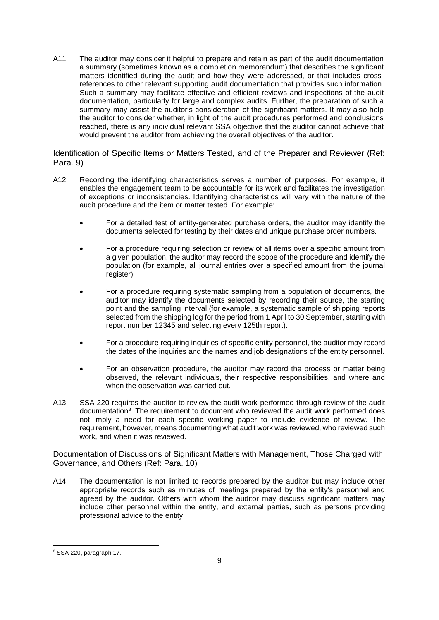A11 The auditor may consider it helpful to prepare and retain as part of the audit documentation a summary (sometimes known as a completion memorandum) that describes the significant matters identified during the audit and how they were addressed, or that includes crossreferences to other relevant supporting audit documentation that provides such information. Such a summary may facilitate effective and efficient reviews and inspections of the audit documentation, particularly for large and complex audits. Further, the preparation of such a summary may assist the auditor's consideration of the significant matters. It may also help the auditor to consider whether, in light of the audit procedures performed and conclusions reached, there is any individual relevant SSA objective that the auditor cannot achieve that would prevent the auditor from achieving the overall objectives of the auditor.

Identification of Specific Items or Matters Tested, and of the Preparer and Reviewer (Ref: Para. 9)

- A12 Recording the identifying characteristics serves a number of purposes. For example, it enables the engagement team to be accountable for its work and facilitates the investigation of exceptions or inconsistencies. Identifying characteristics will vary with the nature of the audit procedure and the item or matter tested. For example:
	- For a detailed test of entity-generated purchase orders, the auditor may identify the documents selected for testing by their dates and unique purchase order numbers.
	- For a procedure requiring selection or review of all items over a specific amount from a given population, the auditor may record the scope of the procedure and identify the population (for example, all journal entries over a specified amount from the journal register).
	- For a procedure requiring systematic sampling from a population of documents, the auditor may identify the documents selected by recording their source, the starting point and the sampling interval (for example, a systematic sample of shipping reports selected from the shipping log for the period from 1 April to 30 September, starting with report number 12345 and selecting every 125th report).
	- For a procedure requiring inquiries of specific entity personnel, the auditor may record the dates of the inquiries and the names and job designations of the entity personnel.
	- For an observation procedure, the auditor may record the process or matter being observed, the relevant individuals, their respective responsibilities, and where and when the observation was carried out.
- A13 SSA 220 requires the auditor to review the audit work performed through review of the audit documentation<sup>8</sup>. The requirement to document who reviewed the audit work performed does not imply a need for each specific working paper to include evidence of review. The requirement, however, means documenting what audit work was reviewed, who reviewed such work, and when it was reviewed.

Documentation of Discussions of Significant Matters with Management, Those Charged with Governance, and Others (Ref: Para. 10)

A14 The documentation is not limited to records prepared by the auditor but may include other appropriate records such as minutes of meetings prepared by the entity's personnel and agreed by the auditor. Others with whom the auditor may discuss significant matters may include other personnel within the entity, and external parties, such as persons providing professional advice to the entity.

<sup>8</sup> SSA 220, paragraph 17.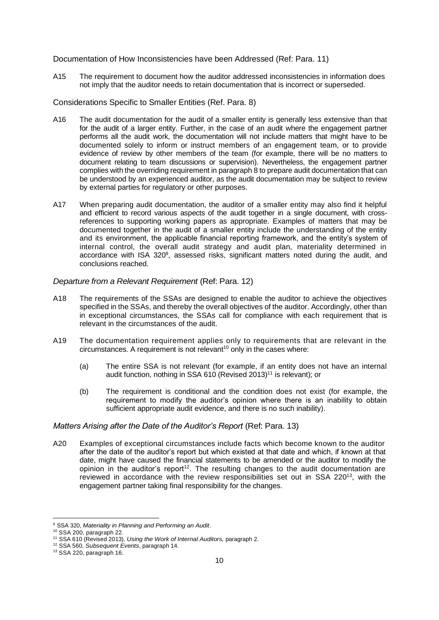Documentation of How Inconsistencies have been Addressed (Ref: Para. 11)

A15 The requirement to document how the auditor addressed inconsistencies in information does not imply that the auditor needs to retain documentation that is incorrect or superseded.

#### Considerations Specific to Smaller Entities (Ref. Para. 8)

- A16 The audit documentation for the audit of a smaller entity is generally less extensive than that for the audit of a larger entity. Further, in the case of an audit where the engagement partner performs all the audit work, the documentation will not include matters that might have to be documented solely to inform or instruct members of an engagement team, or to provide evidence of review by other members of the team (for example, there will be no matters to document relating to team discussions or supervision). Nevertheless, the engagement partner complies with the overriding requirement in paragraph 8 to prepare audit documentation that can be understood by an experienced auditor, as the audit documentation may be subject to review by external parties for regulatory or other purposes.
- A17 When preparing audit documentation, the auditor of a smaller entity may also find it helpful and efficient to record various aspects of the audit together in a single document, with crossreferences to supporting working papers as appropriate. Examples of matters that may be documented together in the audit of a smaller entity include the understanding of the entity and its environment, the applicable financial reporting framework, and the entity's system of internal control, the overall audit strategy and audit plan, materiality determined in accordance with ISA 320<sup>9</sup>, assessed risks, significant matters noted during the audit, and conclusions reached.

#### *Departure from a Relevant Requirement* (Ref: Para. 12)

- A18 The requirements of the SSAs are designed to enable the auditor to achieve the objectives specified in the SSAs, and thereby the overall objectives of the auditor. Accordingly, other than in exceptional circumstances, the SSAs call for compliance with each requirement that is relevant in the circumstances of the audit.
- A19 The documentation requirement applies only to requirements that are relevant in the circumstances. A requirement is not relevant<sup>10</sup> only in the cases where:
	- (a) The entire SSA is not relevant (for example, if an entity does not have an internal audit function, nothing in SSA 610 (Revised 2013)<sup>11</sup> is relevant); or
	- (b) The requirement is conditional and the condition does not exist (for example, the requirement to modify the auditor's opinion where there is an inability to obtain sufficient appropriate audit evidence, and there is no such inability).

#### *Matters Arising after the Date of the Auditor's Report (Ref: Para. 13)*

A20 Examples of exceptional circumstances include facts which become known to the auditor after the date of the auditor's report but which existed at that date and which, if known at that date, might have caused the financial statements to be amended or the auditor to modify the opinion in the auditor's report<sup>12</sup>. The resulting changes to the audit documentation are reviewed in accordance with the review responsibilities set out in SSA 220<sup>13</sup>, with the engagement partner taking final responsibility for the changes.

<sup>9</sup> SSA 320, *Materiality in Planning and Performing an Audit*.

<sup>10</sup> SSA 200, paragraph 22.

<sup>11</sup> SSA 610 (Revised 2013), *Using the Work of Internal Auditors,* paragraph 2.

<sup>12</sup> SSA 560, *Subsequent Events*, paragraph 14.

<sup>13</sup> SSA 220, paragraph 16.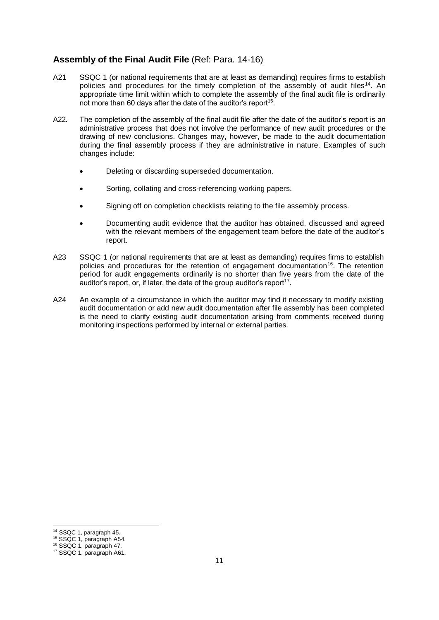## **Assembly of the Final Audit File** (Ref: Para. 14-16)

- A21 SSQC 1 (or national requirements that are at least as demanding) requires firms to establish policies and procedures for the timely completion of the assembly of audit files<sup>14</sup>. An appropriate time limit within which to complete the assembly of the final audit file is ordinarily not more than 60 days after the date of the auditor's report<sup>15</sup>.
- A22. The completion of the assembly of the final audit file after the date of the auditor's report is an administrative process that does not involve the performance of new audit procedures or the drawing of new conclusions. Changes may, however, be made to the audit documentation during the final assembly process if they are administrative in nature. Examples of such changes include:
	- Deleting or discarding superseded documentation.
	- Sorting, collating and cross-referencing working papers.
	- Signing off on completion checklists relating to the file assembly process.
	- Documenting audit evidence that the auditor has obtained, discussed and agreed with the relevant members of the engagement team before the date of the auditor's report.
- A23 SSQC 1 (or national requirements that are at least as demanding) requires firms to establish policies and procedures for the retention of engagement documentation<sup>16</sup>. The retention period for audit engagements ordinarily is no shorter than five years from the date of the auditor's report, or, if later, the date of the group auditor's report<sup>17</sup>.
- A24 An example of a circumstance in which the auditor may find it necessary to modify existing audit documentation or add new audit documentation after file assembly has been completed is the need to clarify existing audit documentation arising from comments received during monitoring inspections performed by internal or external parties.

<sup>14</sup> SSQC 1, paragraph 45.

<sup>15</sup> SSQC 1, paragraph A54.

<sup>&</sup>lt;sup>16</sup> SSQC 1, paragraph 47.

<sup>&</sup>lt;sup>17</sup> SSQC 1, paragraph A61.